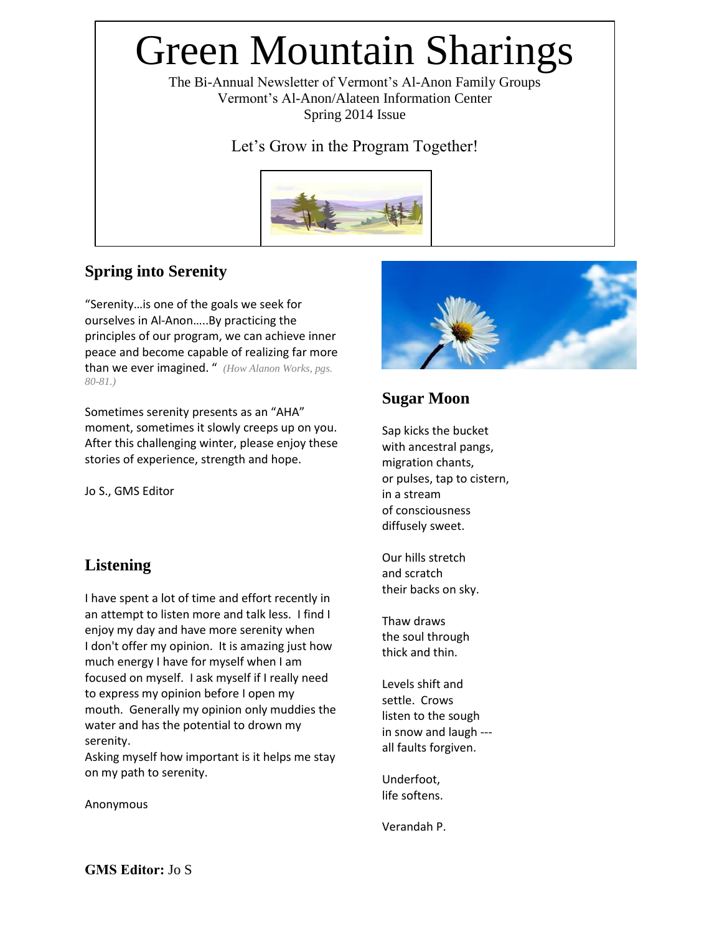# Green Mountain Sharings

The Bi-Annual Newsletter of Vermont's Al-Anon Family Groups Vermont's Al-Anon/Alateen Information Center Spring 2014 Issue

Let's Grow in the Program Together!



## **Spring into Serenity**

"Serenity…is one of the goals we seek for ourselves in Al-Anon…..By practicing the principles of our program, we can achieve inner peace and become capable of realizing far more than we ever imagined. " *(How Alanon Works, pgs. 80-81.)*

Sometimes serenity presents as an "AHA" moment, sometimes it slowly creeps up on you. After this challenging winter, please enjoy these stories of experience, strength and hope.

Jo S., GMS Editor

## **Listening**

I have spent a lot of time and effort recently in an attempt to listen more and talk less. I find I enjoy my day and have more serenity when I don't offer my opinion. It is amazing just how much energy I have for myself when I am focused on myself. I ask myself if I really need to express my opinion before I open my mouth. Generally my opinion only muddies the water and has the potential to drown my serenity.

Asking myself how important is it helps me stay on my path to serenity.

Anonymous



## **Sugar Moon**

Sap kicks the bucket with ancestral pangs, migration chants, or pulses, tap to cistern, in a stream of consciousness diffusely sweet.

Our hills stretch and scratch their backs on sky.

Thaw draws the soul through thick and thin.

Levels shift and settle. Crows listen to the sough in snow and laugh -- all faults forgiven.

Underfoot, life softens.

Verandah P.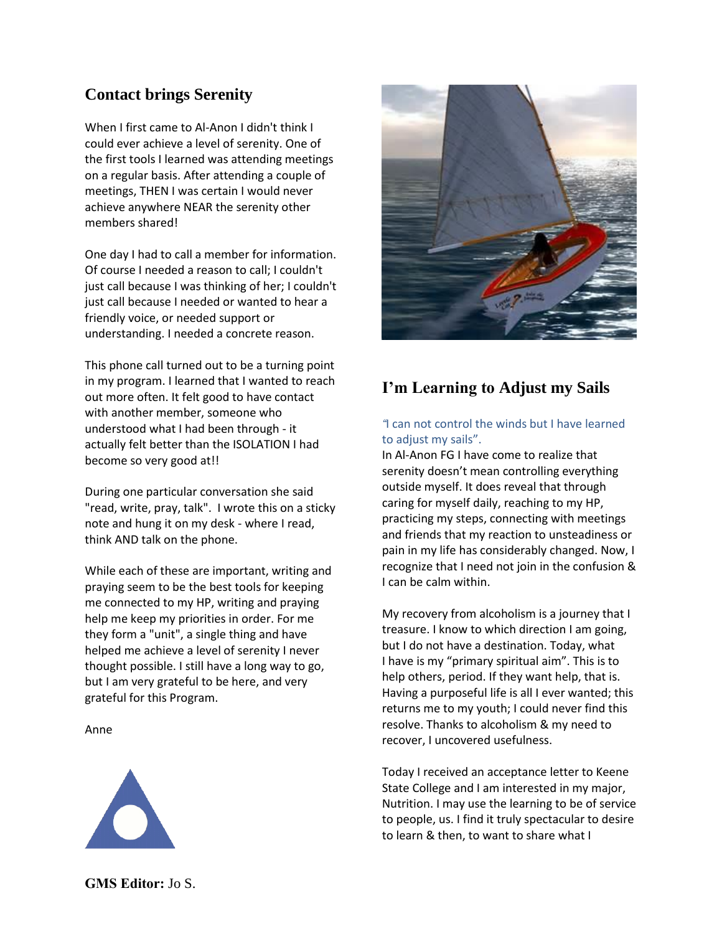#### **Contact brings Serenity**

When I first came to Al-Anon I didn't think I could ever achieve a level of serenity. One of the first tools I learned was attending meetings on a regular basis. After attending a couple of meetings, THEN I was certain I would never achieve anywhere NEAR the serenity other members shared!

One day I had to call a member for information. Of course I needed a reason to call; I couldn't just call because I was thinking of her; I couldn't just call because I needed or wanted to hear a friendly voice, or needed support or understanding. I needed a concrete reason.

This phone call turned out to be a turning point in my program. I learned that I wanted to reach out more often. It felt good to have contact with another member, someone who understood what I had been through - it actually felt better than the ISOLATION I had become so very good at!!

During one particular conversation she said "read, write, pray, talk". I wrote this on a sticky note and hung it on my desk - where I read, think AND talk on the phone.

While each of these are important, writing and praying seem to be the best tools for keeping me connected to my HP, writing and praying help me keep my priorities in order. For me they form a "unit", a single thing and have helped me achieve a level of serenity I never thought possible. I still have a long way to go, but I am very grateful to be here, and very grateful for this Program.

#### Anne





## **I'm Learning to Adjust my Sails**

#### *"*I can not control the winds but I have learned to adjust my sails".

In Al-Anon FG I have come to realize that serenity doesn't mean controlling everything outside myself. It does reveal that through caring for myself daily, reaching to my HP, practicing my steps, connecting with meetings and friends that my reaction to unsteadiness or pain in my life has considerably changed. Now, I recognize that I need not join in the confusion & I can be calm within.

My recovery from alcoholism is a journey that I treasure. I know to which direction I am going, but I do not have a destination. Today, what I have is my "primary spiritual aim". This is to help others, period. If they want help, that is. Having a purposeful life is all I ever wanted; this returns me to my youth; I could never find this resolve. Thanks to alcoholism & my need to recover, I uncovered usefulness.

Today I received an acceptance letter to Keene State College and I am interested in my major, Nutrition. I may use the learning to be of service to people, us. I find it truly spectacular to desire to learn & then, to want to share what I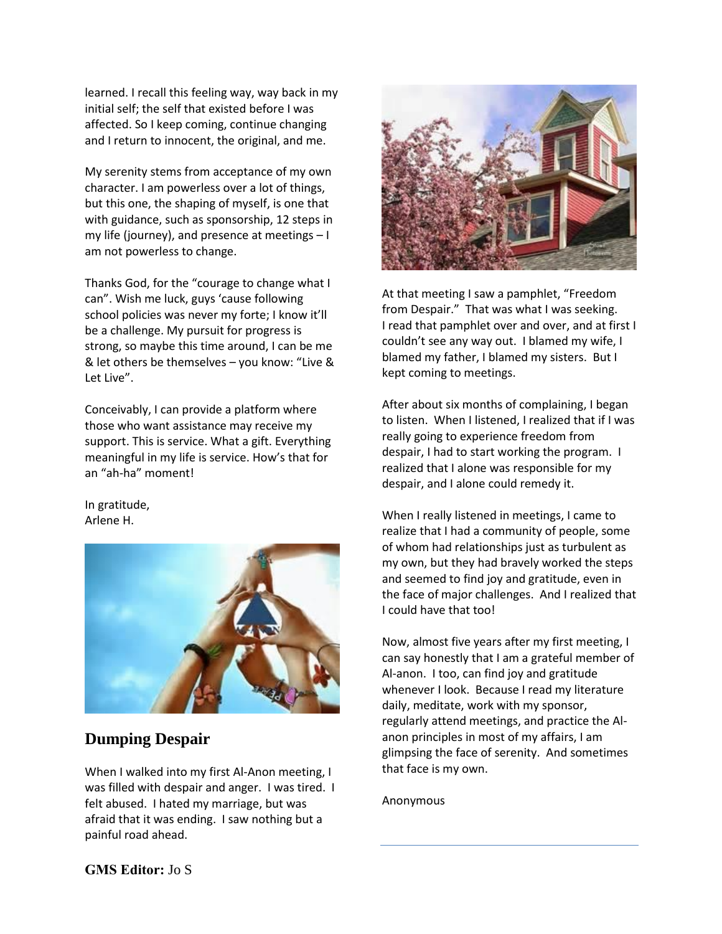learned. I recall this feeling way, way back in my initial self; the self that existed before I was affected. So I keep coming, continue changing and I return to innocent, the original, and me.

My serenity stems from acceptance of my own character. I am powerless over a lot of things, but this one, the shaping of myself, is one that with guidance, such as sponsorship, 12 steps in my life (journey), and presence at meetings – I am not powerless to change.

Thanks God, for the "courage to change what I can". Wish me luck, guys 'cause following school policies was never my forte; I know it'll be a challenge. My pursuit for progress is strong, so maybe this time around, I can be me & let others be themselves – you know: "Live & Let Live".

Conceivably, I can provide a platform where those who want assistance may receive my support. This is service. What a gift. Everything meaningful in my life is service. How's that for an "ah-ha" moment!

In gratitude, Arlene H.



#### **Dumping Despair**

When I walked into my first Al-Anon meeting, I was filled with despair and anger. I was tired. I felt abused. I hated my marriage, but was afraid that it was ending. I saw nothing but a painful road ahead.



At that meeting I saw a pamphlet, "Freedom from Despair." That was what I was seeking. I read that pamphlet over and over, and at first I couldn't see any way out. I blamed my wife, I blamed my father, I blamed my sisters. But I kept coming to meetings.

After about six months of complaining, I began to listen. When I listened, I realized that if I was really going to experience freedom from despair, I had to start working the program. I realized that I alone was responsible for my despair, and I alone could remedy it.

When I really listened in meetings, I came to realize that I had a community of people, some of whom had relationships just as turbulent as my own, but they had bravely worked the steps and seemed to find joy and gratitude, even in the face of major challenges. And I realized that I could have that too!

Now, almost five years after my first meeting, I can say honestly that I am a grateful member of Al-anon. I too, can find joy and gratitude whenever I look. Because I read my literature daily, meditate, work with my sponsor, regularly attend meetings, and practice the Alanon principles in most of my affairs, I am glimpsing the face of serenity. And sometimes that face is my own.

Anonymous

#### **GMS Editor:** Jo S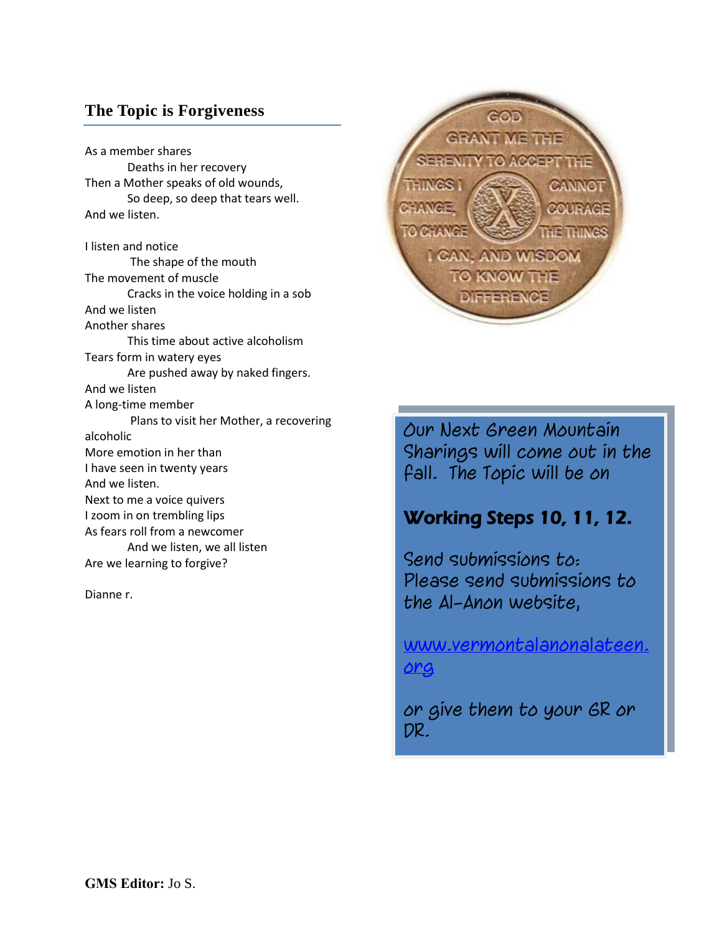#### **The Topic is Forgiveness**

As a member shares Deaths in her recovery Then a Mother speaks of old wounds, So deep, so deep that tears well. And we listen. I listen and notice The shape of the mouth The movement of muscle Cracks in the voice holding in a sob And we listen Another shares This time about active alcoholism Tears form in watery eyes Are pushed away by naked fingers. And we listen A long-time member Plans to visit her Mother, a recovering alcoholic More emotion in her than I have seen in twenty years And we listen. Next to me a voice quivers I zoom in on trembling lips As fears roll from a newcomer And we listen, we all listen Are we learning to forgive?

Dianne r.



Our Next Green Mountain Sharings will come out in the fall. The Topic will be on

# Working Steps 10, 11, 12.

Send submissions to: Please send submissions to the Al-Anon website,

[www.vermontalanonalateen.](http://www.vermontalanonalateen.org/) [org](http://www.vermontalanonalateen.org/)

or give them to your GR or DR.